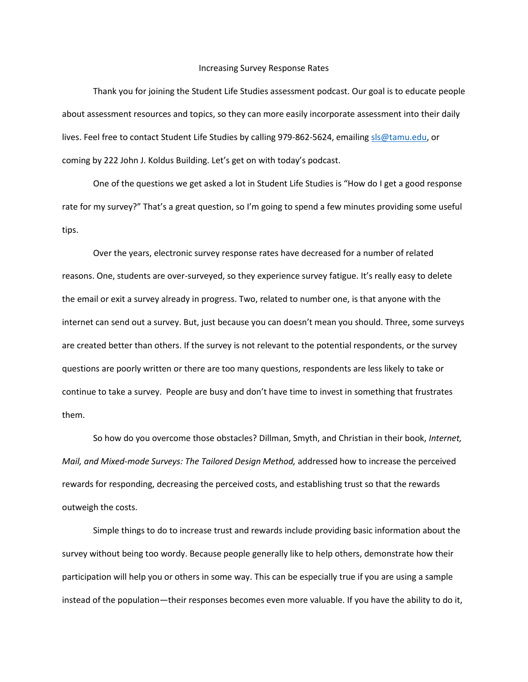## Increasing Survey Response Rates

Thank you for joining the Student Life Studies assessment podcast. Our goal is to educate people about assessment resources and topics, so they can more easily incorporate assessment into their daily lives. Feel free to contact Student Life Studies by calling 979-862-5624, emailin[g sls@tamu.edu,](mailto:sls@tamu.edu) or coming by 222 John J. Koldus Building. Let's get on with today's podcast.

One of the questions we get asked a lot in Student Life Studies is "How do I get a good response rate for my survey?" That's a great question, so I'm going to spend a few minutes providing some useful tips.

Over the years, electronic survey response rates have decreased for a number of related reasons. One, students are over-surveyed, so they experience survey fatigue. It's really easy to delete the email or exit a survey already in progress. Two, related to number one, is that anyone with the internet can send out a survey. But, just because you can doesn't mean you should. Three, some surveys are created better than others. If the survey is not relevant to the potential respondents, or the survey questions are poorly written or there are too many questions, respondents are less likely to take or continue to take a survey. People are busy and don't have time to invest in something that frustrates them.

So how do you overcome those obstacles? Dillman, Smyth, and Christian in their book, *Internet, Mail, and Mixed-mode Surveys: The Tailored Design Method,* addressed how to increase the perceived rewards for responding, decreasing the perceived costs, and establishing trust so that the rewards outweigh the costs.

Simple things to do to increase trust and rewards include providing basic information about the survey without being too wordy. Because people generally like to help others, demonstrate how their participation will help you or others in some way. This can be especially true if you are using a sample instead of the population—their responses becomes even more valuable. If you have the ability to do it,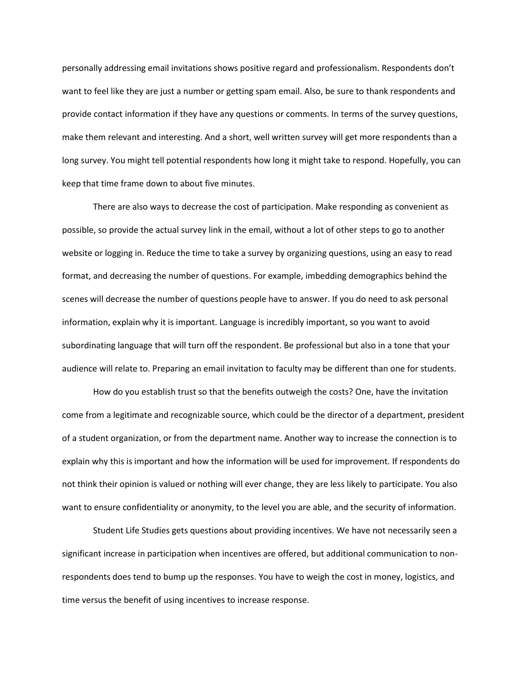personally addressing email invitations shows positive regard and professionalism. Respondents don't want to feel like they are just a number or getting spam email. Also, be sure to thank respondents and provide contact information if they have any questions or comments. In terms of the survey questions, make them relevant and interesting. And a short, well written survey will get more respondents than a long survey. You might tell potential respondents how long it might take to respond. Hopefully, you can keep that time frame down to about five minutes.

There are also ways to decrease the cost of participation. Make responding as convenient as possible, so provide the actual survey link in the email, without a lot of other steps to go to another website or logging in. Reduce the time to take a survey by organizing questions, using an easy to read format, and decreasing the number of questions. For example, imbedding demographics behind the scenes will decrease the number of questions people have to answer. If you do need to ask personal information, explain why it is important. Language is incredibly important, so you want to avoid subordinating language that will turn off the respondent. Be professional but also in a tone that your audience will relate to. Preparing an email invitation to faculty may be different than one for students.

How do you establish trust so that the benefits outweigh the costs? One, have the invitation come from a legitimate and recognizable source, which could be the director of a department, president of a student organization, or from the department name. Another way to increase the connection is to explain why this is important and how the information will be used for improvement. If respondents do not think their opinion is valued or nothing will ever change, they are less likely to participate. You also want to ensure confidentiality or anonymity, to the level you are able, and the security of information.

Student Life Studies gets questions about providing incentives. We have not necessarily seen a significant increase in participation when incentives are offered, but additional communication to nonrespondents does tend to bump up the responses. You have to weigh the cost in money, logistics, and time versus the benefit of using incentives to increase response.